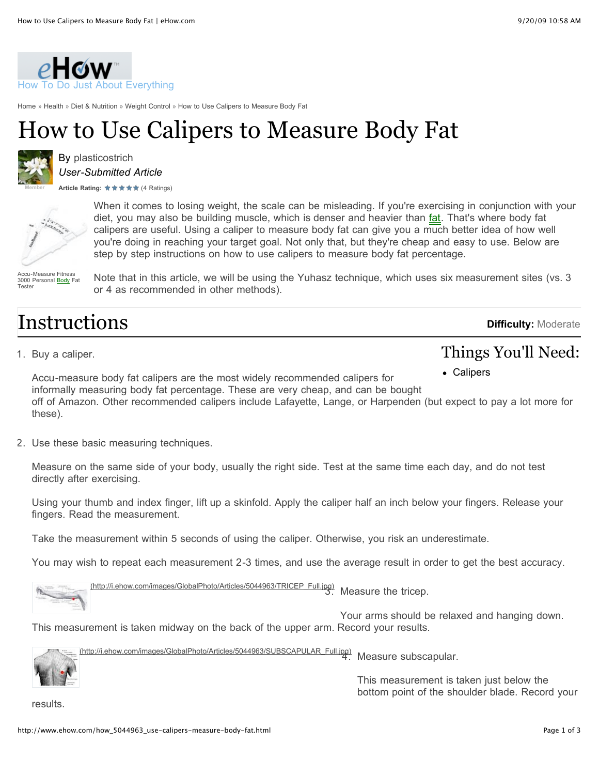

[Home](http://www.ehow.com/) » [Health](http://www.ehow.com/guide_10-health.html) » [Diet & Nutrition](http://www.ehow.com/information_1036-diet-nutrition.html) » [Weight Control](http://www.ehow.com/articles_2359-weight-control.html) » [How to Use Calipers to Measure Body Fat](http://www.ehow.com/how_5044963_use-calipers-measure-body-fat.html)

# How to Use Calipers to Measure Body Fat



By [plasticostrich](http://www.ehow.com/members/plasticostrich.html) *User-Submitted Article*

ArticleRating: **★ ★ ★ ★ ★** (4 Ratings)



When it comes to losing weight, the scale can be misleading. If you're exercising in conjunction with your diet, you may also be building muscle, which is denser and heavier than *fat*. That's where body fat calipers are useful. Using a caliper to measure body fat can give you a much better idea of how well you're doing in reaching your target goal. Not only that, but they're cheap and easy to use. Below are step by step instructions on how to use calipers to measure body fat percentage.

Accu-Measure Fitness 3000 Personal **Body** Fat Tester

Note that in this article, we will be using the Yuhasz technique, which uses six measurement sites (vs. 3 or 4 as recommended in other methods).

### Instructions

**Difficulty:** Moderate

Things You'll Need:

### 1. Buy a caliper.

Calipers

Accu-measure body fat calipers are the most widely recommended calipers for informally measuring body fat percentage. These are very cheap, and can be bought off of Amazon. Other recommended calipers include Lafayette, Lange, or Harpenden (but expect to pay a lot more for these).

2. Use these basic measuring techniques.

Measure on the same side of your body, usually the right side. Test at the same time each day, and do not test directly after exercising.

Using your thumb and index finger, lift up a skinfold. Apply the caliper half an inch below your fingers. Release your fingers. Read the measurement.

Take the measurement within 5 seconds of using the caliper. Otherwise, you risk an underestimate.

You may wish to repeat each measurement 2-3 times, and use the average result in order to get the best accuracy.

[\(http://i.ehow.com/images/GlobalPhoto/Articles/5044963/TRICEP\\_Full.jpg\)](http://i.ehow.com/images/GlobalPhoto/Articles/5044963/TRICEP_Full.jpg) 3. Measure the tricep.

Your arms should be relaxed and hanging down. This measurement is taken midway on the back of the upper arm. Record your results.

[\(http://i.ehow.com/images/GlobalPhoto/Articles/5044963/SUBSCAPULAR\\_Full.jpg\)](http://i.ehow.com/images/GlobalPhoto/Articles/5044963/SUBSCAPULAR_Full.jpg) Measure subscapular.

> This measurement is taken just below the bottom point of the shoulder blade. Record your

results.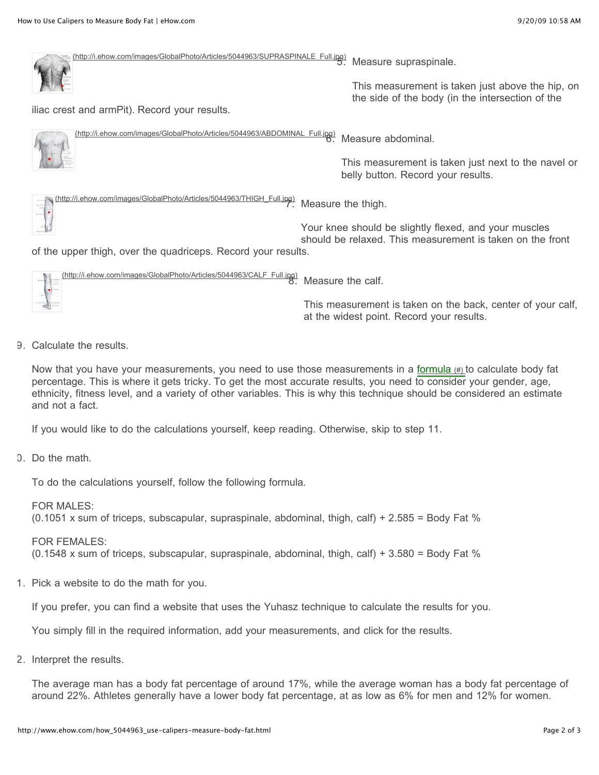[\(http://i.ehow.com/images/GlobalPhoto/Articles/5044963/SUPRASPINALE\\_Full.jpg\)](http://i.ehow.com/images/GlobalPhoto/Articles/5044963/SUPRASPINALE_Full.jpg) 5. Measure supraspinale.

iliac crest and armPit). Record your results.

[\(http://i.ehow.com/images/GlobalPhoto/Articles/5044963/ABDOMINAL\\_Full.jpg\)](http://i.ehow.com/images/GlobalPhoto/Articles/5044963/ABDOMINAL_Full.jpg) Measure abdominal.

> This measurement is taken just next to the navel or belly button. Record your results.

This measurement is taken just above the hip, on the side of the body (in the intersection of the



Your knee should be slightly flexed, and your muscles should be relaxed. This measurement is taken on the front

of the upper thigh, over the quadriceps. Record your results.

[\(http://i.ehow.com/images/GlobalPhoto/Articles/5044963/CALF\\_Full.jpg\)](http://i.ehow.com/images/GlobalPhoto/Articles/5044963/CALF_Full.jpg) Measure the calf. This measurement is taken on the back, center of your calf, at the widest point. Record your results.

9. Calculate the results.

Now that you have your measurements, you need to use those measurements in a [formula \(#\) t](http://www.ehow.com/how_5044963_use-calipers-measure-body-fat.html#)o calculate body fat percentage. This is where it gets tricky. To get the most accurate results, you need to consider your gender, age, ethnicity, fitness level, and a variety of other variables. This is why this technique should be considered an estimate and not a fact.

If you would like to do the calculations yourself, keep reading. Otherwise, skip to step 11.

10. Do the math.

To do the calculations yourself, follow the following formula.

FOR MALES:  $(0.1051 \times$  sum of triceps, subscapular, supraspinale, abdominal, thigh, calf) + 2.585 = Body Fat %

FOR FEMALES:  $(0.1548 \times \text{sum of triceps}, \text{subscapular}, \text{supraspinale}, \text{abdominal}, \text{thigh}, \text{calf}) + 3.580 = \text{Body Fat } \%$ 

1. Pick a website to do the math for you.

If you prefer, you can find a website that uses the Yuhasz technique to calculate the results for you.

You simply fill in the required information, add your measurements, and click for the results.

2. Interpret the results.

The average man has a body fat percentage of around 17%, while the average woman has a body fat percentage of around 22%. Athletes generally have a lower body fat percentage, at as low as 6% for men and 12% for women.